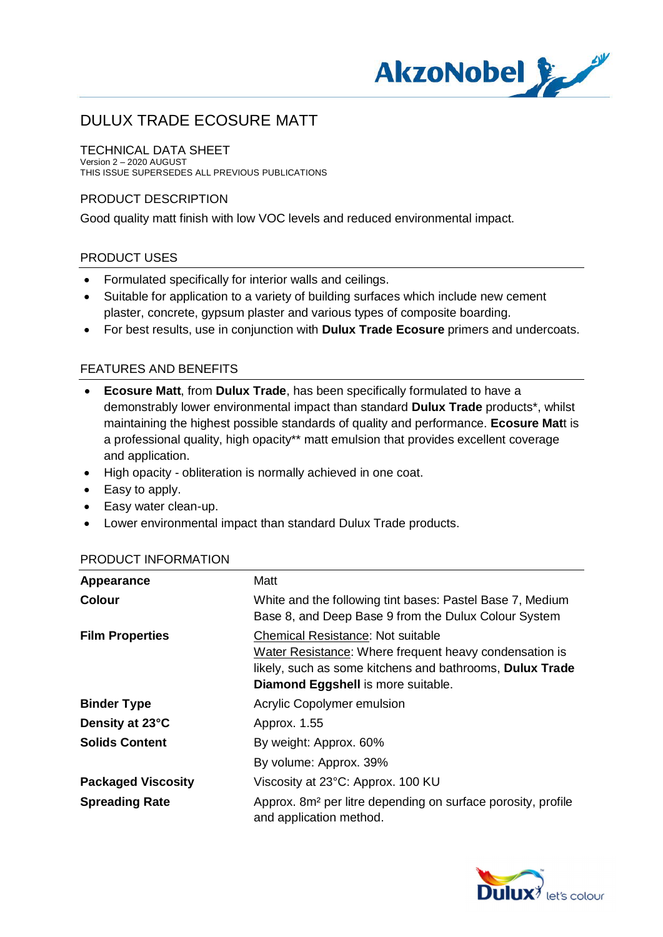

#### TECHNICAL DATA SHEET

Version 2 – 2020 AUGUST THIS ISSUE SUPERSEDES ALL PREVIOUS PUBLICATIONS

## PRODUCT DESCRIPTION

Good quality matt finish with low VOC levels and reduced environmental impact.

## PRODUCT USES

- · Formulated specifically for interior walls and ceilings.
- · Suitable for application to a variety of building surfaces which include new cement plaster, concrete, gypsum plaster and various types of composite boarding.
- · For best results, use in conjunction with **Dulux Trade Ecosure** primers and undercoats.

## FEATURES AND BENEFITS

- · **Ecosure Matt**, from **Dulux Trade**, has been specifically formulated to have a demonstrably lower environmental impact than standard **Dulux Trade** products\*, whilst maintaining the highest possible standards of quality and performance. **Ecosure Mat**t is a professional quality, high opacity\*\* matt emulsion that provides excellent coverage and application.
- · High opacity obliteration is normally achieved in one coat.
- · Easy to apply.
- · Easy water clean-up.
- · Lower environmental impact than standard Dulux Trade products.

| Appearance                | Matt                                                                                                                                                                                                 |
|---------------------------|------------------------------------------------------------------------------------------------------------------------------------------------------------------------------------------------------|
| <b>Colour</b>             | White and the following tint bases: Pastel Base 7, Medium<br>Base 8, and Deep Base 9 from the Dulux Colour System                                                                                    |
| <b>Film Properties</b>    | <b>Chemical Resistance: Not suitable</b><br>Water Resistance: Where frequent heavy condensation is<br>likely, such as some kitchens and bathrooms, Dulux Trade<br>Diamond Eggshell is more suitable. |
| <b>Binder Type</b>        | Acrylic Copolymer emulsion                                                                                                                                                                           |
| Density at 23°C           | Approx. 1.55                                                                                                                                                                                         |
| <b>Solids Content</b>     | By weight: Approx. 60%                                                                                                                                                                               |
|                           | By volume: Approx. 39%                                                                                                                                                                               |
| <b>Packaged Viscosity</b> | Viscosity at 23°C: Approx. 100 KU                                                                                                                                                                    |
| <b>Spreading Rate</b>     | Approx. 8m <sup>2</sup> per litre depending on surface porosity, profile<br>and application method.                                                                                                  |

#### PRODUCT INFORMATION

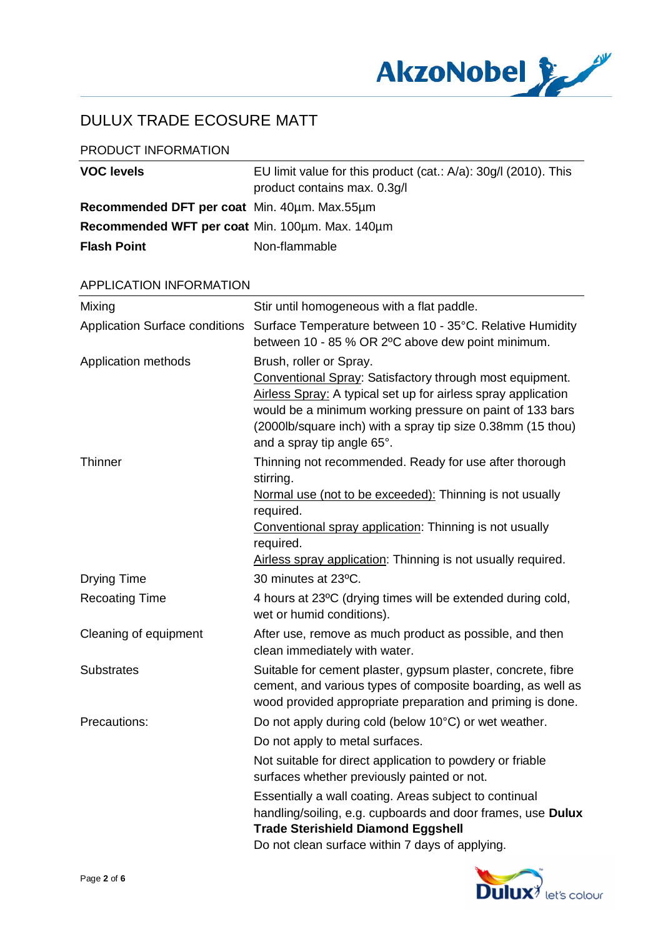

## PRODUCT INFORMATION

| <b>VOC levels</b>                               | EU limit value for this product $(cat.: A/a): 30g/1 (2010).$ This<br>product contains max. 0.3g/l |
|-------------------------------------------------|---------------------------------------------------------------------------------------------------|
| Recommended DFT per coat Min. 40um. Max.55um    |                                                                                                   |
| Recommended WFT per coat Min. 100um. Max. 140um |                                                                                                   |
| <b>Flash Point</b>                              | Non-flammable                                                                                     |

#### APPLICATION INFORMATION

| Mixing                                | Stir until homogeneous with a flat paddle.                                                                                                                                                                                                                                                                    |
|---------------------------------------|---------------------------------------------------------------------------------------------------------------------------------------------------------------------------------------------------------------------------------------------------------------------------------------------------------------|
| <b>Application Surface conditions</b> | Surface Temperature between 10 - 35°C. Relative Humidity<br>between 10 - 85 % OR 2°C above dew point minimum.                                                                                                                                                                                                 |
| Application methods                   | Brush, roller or Spray.<br>Conventional Spray: Satisfactory through most equipment.<br>Airless Spray: A typical set up for airless spray application<br>would be a minimum working pressure on paint of 133 bars<br>(2000lb/square inch) with a spray tip size 0.38mm (15 thou)<br>and a spray tip angle 65°. |
| <b>Thinner</b>                        | Thinning not recommended. Ready for use after thorough<br>stirring.<br>Normal use (not to be exceeded): Thinning is not usually<br>required.<br>Conventional spray application: Thinning is not usually<br>required.<br>Airless spray application: Thinning is not usually required.                          |
| <b>Drying Time</b>                    | 30 minutes at 23°C.                                                                                                                                                                                                                                                                                           |
| <b>Recoating Time</b>                 | 4 hours at 23°C (drying times will be extended during cold,<br>wet or humid conditions).                                                                                                                                                                                                                      |
| Cleaning of equipment                 | After use, remove as much product as possible, and then<br>clean immediately with water.                                                                                                                                                                                                                      |
| <b>Substrates</b>                     | Suitable for cement plaster, gypsum plaster, concrete, fibre<br>cement, and various types of composite boarding, as well as<br>wood provided appropriate preparation and priming is done.                                                                                                                     |
| Precautions:                          | Do not apply during cold (below 10°C) or wet weather.                                                                                                                                                                                                                                                         |
|                                       | Do not apply to metal surfaces.                                                                                                                                                                                                                                                                               |
|                                       | Not suitable for direct application to powdery or friable<br>surfaces whether previously painted or not.                                                                                                                                                                                                      |
|                                       | Essentially a wall coating. Areas subject to continual<br>handling/soiling, e.g. cupboards and door frames, use Dulux<br><b>Trade Sterishield Diamond Eggshell</b><br>Do not clean surface within 7 days of applying.                                                                                         |
|                                       |                                                                                                                                                                                                                                                                                                               |

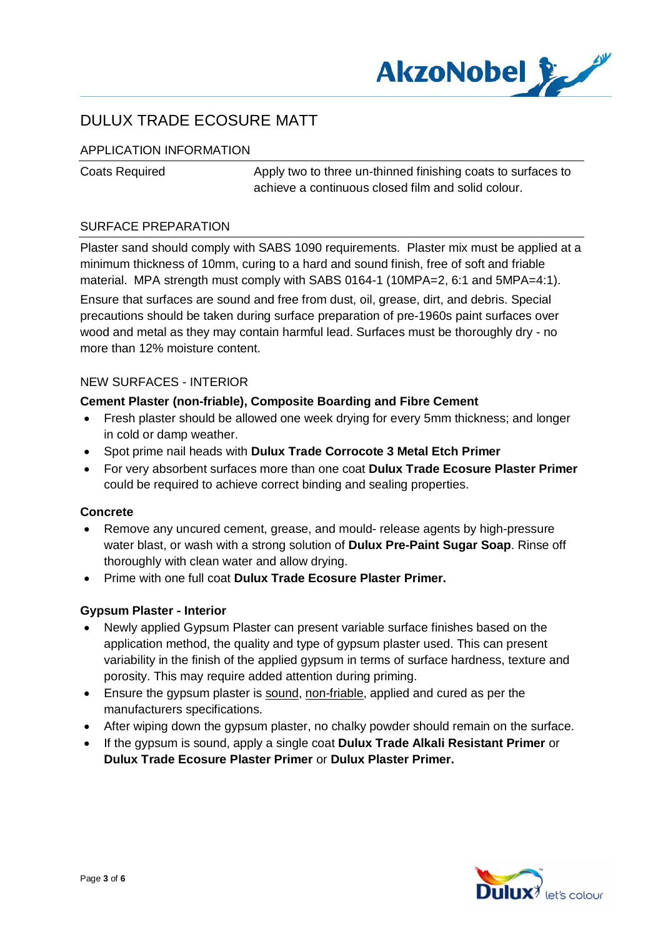

## APPLICATION INFORMATION

Coats Required Apply two to three un-thinned finishing coats to surfaces to achieve a continuous closed film and solid colour.

## SURFACE PREPARATION

Plaster sand should comply with SABS 1090 requirements. Plaster mix must be applied at a minimum thickness of 10mm, curing to a hard and sound finish, free of soft and friable material. MPA strength must comply with SABS 0164-1 (10MPA=2, 6:1 and 5MPA=4:1).

Ensure that surfaces are sound and free from dust, oil, grease, dirt, and debris. Special precautions should be taken during surface preparation of pre-1960s paint surfaces over wood and metal as they may contain harmful lead. Surfaces must be thoroughly dry - no more than 12% moisture content.

## NEW SURFACES - INTERIOR

## **Cement Plaster (non-friable), Composite Boarding and Fibre Cement**

- · Fresh plaster should be allowed one week drying for every 5mm thickness; and longer in cold or damp weather.
- · Spot prime nail heads with **Dulux Trade Corrocote 3 Metal Etch Primer**
- · For very absorbent surfaces more than one coat **Dulux Trade Ecosure Plaster Primer** could be required to achieve correct binding and sealing properties.

#### **Concrete**

- · Remove any uncured cement, grease, and mould- release agents by high-pressure water blast, or wash with a strong solution of **Dulux Pre-Paint Sugar Soap**. Rinse off thoroughly with clean water and allow drying.
- · Prime with one full coat **Dulux Trade Ecosure Plaster Primer.**

#### **Gypsum Plaster - Interior**

- · Newly applied Gypsum Plaster can present variable surface finishes based on the application method, the quality and type of gypsum plaster used. This can present variability in the finish of the applied gypsum in terms of surface hardness, texture and porosity. This may require added attention during priming.
- · Ensure the gypsum plaster is sound, non-friable, applied and cured as per the manufacturers specifications.
- After wiping down the gypsum plaster, no chalky powder should remain on the surface.
- · If the gypsum is sound, apply a single coat **Dulux Trade Alkali Resistant Primer** or **Dulux Trade Ecosure Plaster Primer** or **Dulux Plaster Primer.**

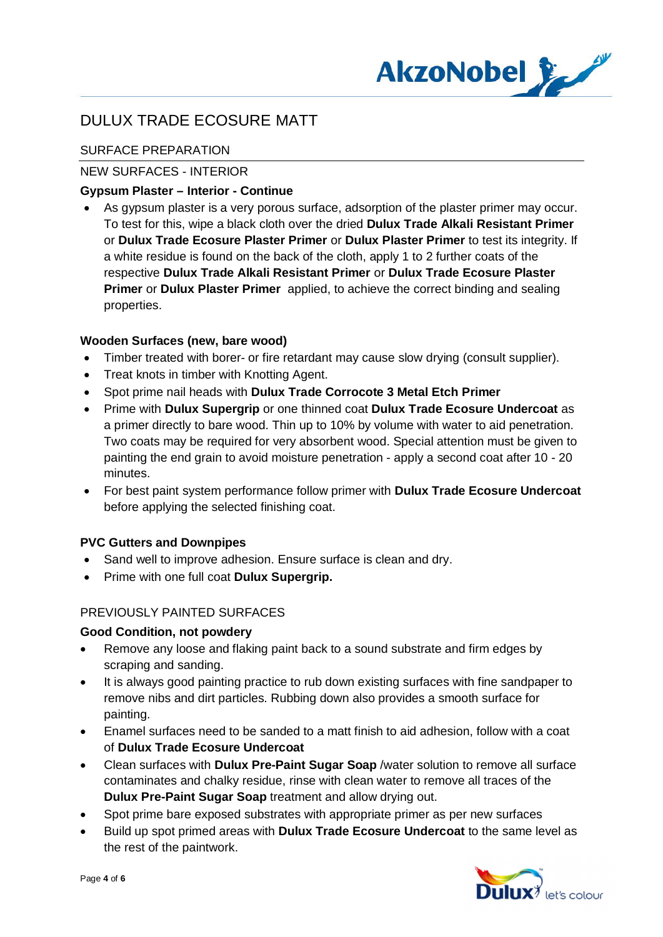

## SURFACE PREPARATION

## NEW SURFACES - INTERIOR

#### **Gypsum Plaster – Interior - Continue**

· As gypsum plaster is a very porous surface, adsorption of the plaster primer may occur. To test for this, wipe a black cloth over the dried **Dulux Trade Alkali Resistant Primer** or **Dulux Trade Ecosure Plaster Primer** or **Dulux Plaster Primer** to test its integrity. If a white residue is found on the back of the cloth, apply 1 to 2 further coats of the respective **Dulux Trade Alkali Resistant Primer** or **Dulux Trade Ecosure Plaster Primer** or **Dulux Plaster Primer** applied, to achieve the correct binding and sealing properties.

## **Wooden Surfaces (new, bare wood)**

- · Timber treated with borer- or fire retardant may cause slow drying (consult supplier).
- · Treat knots in timber with Knotting Agent.
- · Spot prime nail heads with **Dulux Trade Corrocote 3 Metal Etch Primer**
- · Prime with **Dulux Supergrip** or one thinned coat **Dulux Trade Ecosure Undercoat** as a primer directly to bare wood. Thin up to 10% by volume with water to aid penetration. Two coats may be required for very absorbent wood. Special attention must be given to painting the end grain to avoid moisture penetration - apply a second coat after 10 - 20 minutes.
- · For best paint system performance follow primer with **Dulux Trade Ecosure Undercoat** before applying the selected finishing coat.

## **PVC Gutters and Downpipes**

- Sand well to improve adhesion. Ensure surface is clean and dry.
- · Prime with one full coat **Dulux Supergrip.**

## PREVIOUSLY PAINTED SURFACES

#### **Good Condition, not powdery**

- Remove any loose and flaking paint back to a sound substrate and firm edges by scraping and sanding.
- · It is always good painting practice to rub down existing surfaces with fine sandpaper to remove nibs and dirt particles. Rubbing down also provides a smooth surface for painting.
- · Enamel surfaces need to be sanded to a matt finish to aid adhesion, follow with a coat of **Dulux Trade Ecosure Undercoat**
- · Clean surfaces with **Dulux Pre-Paint Sugar Soap** /water solution to remove all surface contaminates and chalky residue, rinse with clean water to remove all traces of the **Dulux Pre-Paint Sugar Soap** treatment and allow drying out.
- · Spot prime bare exposed substrates with appropriate primer as per new surfaces
- · Build up spot primed areas with **Dulux Trade Ecosure Undercoat** to the same level as the rest of the paintwork.

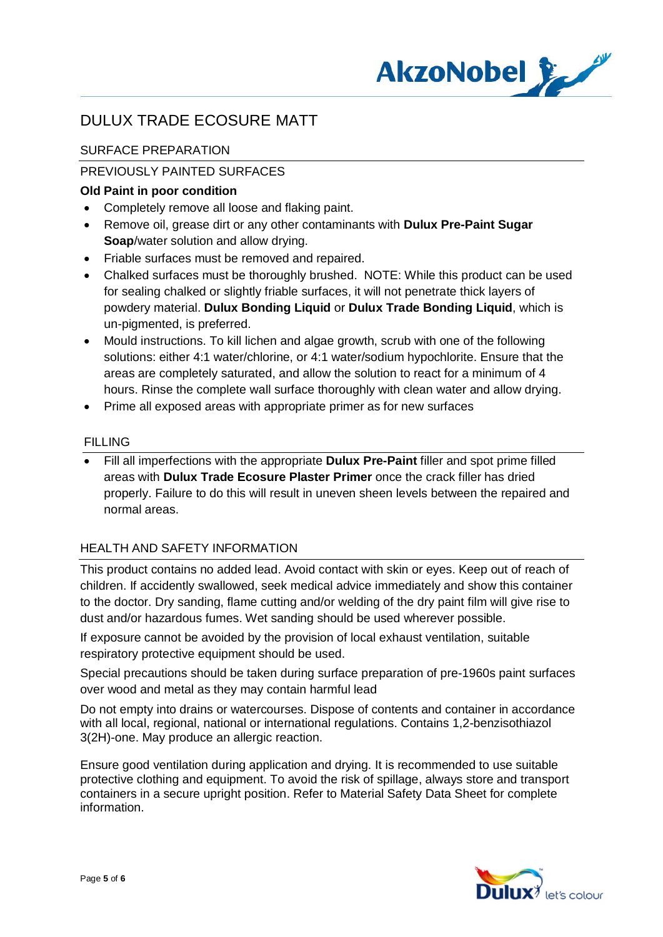

## SURFACE PREPARATION

## PREVIOUSLY PAINTED SURFACES

## **Old Paint in poor condition**

- · Completely remove all loose and flaking paint.
- · Remove oil, grease dirt or any other contaminants with **Dulux Pre-Paint Sugar Soap**/water solution and allow drying.
- · Friable surfaces must be removed and repaired.
- Chalked surfaces must be thoroughly brushed. NOTE: While this product can be used for sealing chalked or slightly friable surfaces, it will not penetrate thick layers of powdery material. **Dulux Bonding Liquid** or **Dulux Trade Bonding Liquid**, which is un-pigmented, is preferred.
- · Mould instructions. To kill lichen and algae growth, scrub with one of the following solutions: either 4:1 water/chlorine, or 4:1 water/sodium hypochlorite. Ensure that the areas are completely saturated, and allow the solution to react for a minimum of 4 hours. Rinse the complete wall surface thoroughly with clean water and allow drying.
- · Prime all exposed areas with appropriate primer as for new surfaces

#### FILLING

· Fill all imperfections with the appropriate **Dulux Pre-Paint** filler and spot prime filled areas with **Dulux Trade Ecosure Plaster Primer** once the crack filler has dried properly. Failure to do this will result in uneven sheen levels between the repaired and normal areas.

## HEALTH AND SAFETY INFORMATION

This product contains no added lead. Avoid contact with skin or eyes. Keep out of reach of children. If accidently swallowed, seek medical advice immediately and show this container to the doctor. Dry sanding, flame cutting and/or welding of the dry paint film will give rise to dust and/or hazardous fumes. Wet sanding should be used wherever possible.

If exposure cannot be avoided by the provision of local exhaust ventilation, suitable respiratory protective equipment should be used.

Special precautions should be taken during surface preparation of pre-1960s paint surfaces over wood and metal as they may contain harmful lead

Do not empty into drains or watercourses. Dispose of contents and container in accordance with all local, regional, national or international regulations. Contains 1,2-benzisothiazol 3(2H)-one. May produce an allergic reaction.

Ensure good ventilation during application and drying. It is recommended to use suitable protective clothing and equipment. To avoid the risk of spillage, always store and transport containers in a secure upright position. Refer to Material Safety Data Sheet for complete information.